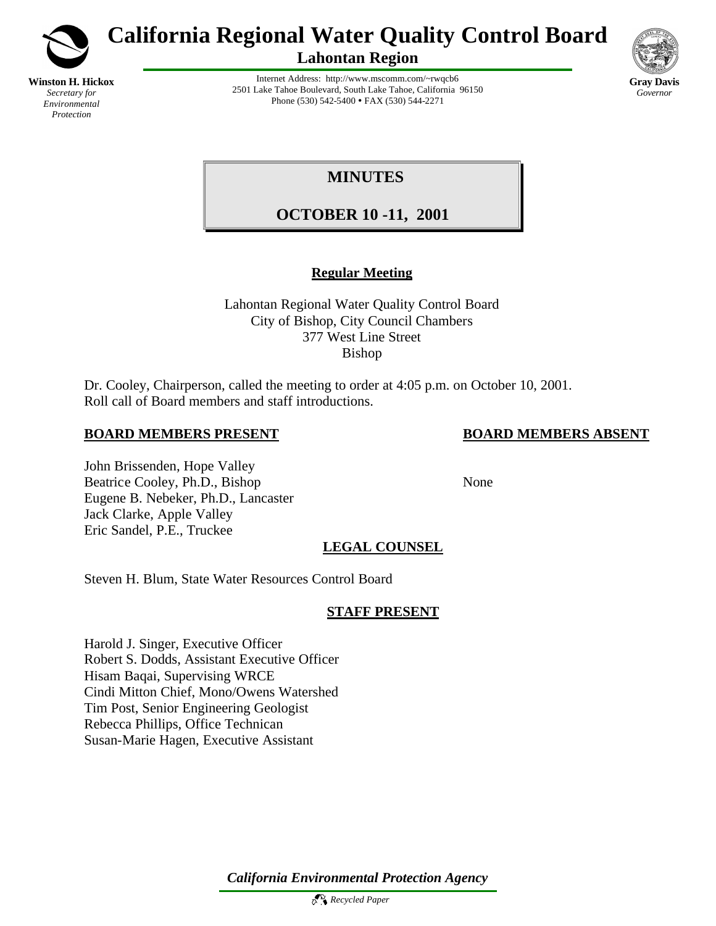

*Secretary for Environmental Protection*

**California Regional Water Quality Control Board**

**Lahontan Region**



Internet Address: http://www.mscomm.com/~rwqcb6 2501 Lake Tahoe Boulevard, South Lake Tahoe, California 96150 Phone (530) 542-5400 • FAX (530) 544-2271

# **MINUTES**

# **OCTOBER 10 -11, 2001**

# **Regular Meeting**

Lahontan Regional Water Quality Control Board City of Bishop, City Council Chambers 377 West Line Street Bishop

Dr. Cooley, Chairperson, called the meeting to order at 4:05 p.m. on October 10, 2001. Roll call of Board members and staff introductions.

# **BOARD MEMBERS PRESENT BOARD MEMBERS ABSENT**

## John Brissenden, Hope Valley Beatrice Cooley, Ph.D., Bishop None Eugene B. Nebeker, Ph.D., Lancaster Jack Clarke, Apple Valley Eric Sandel, P.E., Truckee

# **LEGAL COUNSEL**

Steven H. Blum, State Water Resources Control Board

# **STAFF PRESENT**

Harold J. Singer, Executive Officer Robert S. Dodds, Assistant Executive Officer Hisam Baqai, Supervising WRCE Cindi Mitton Chief, Mono/Owens Watershed Tim Post, Senior Engineering Geologist Rebecca Phillips, Office Technican Susan-Marie Hagen, Executive Assistant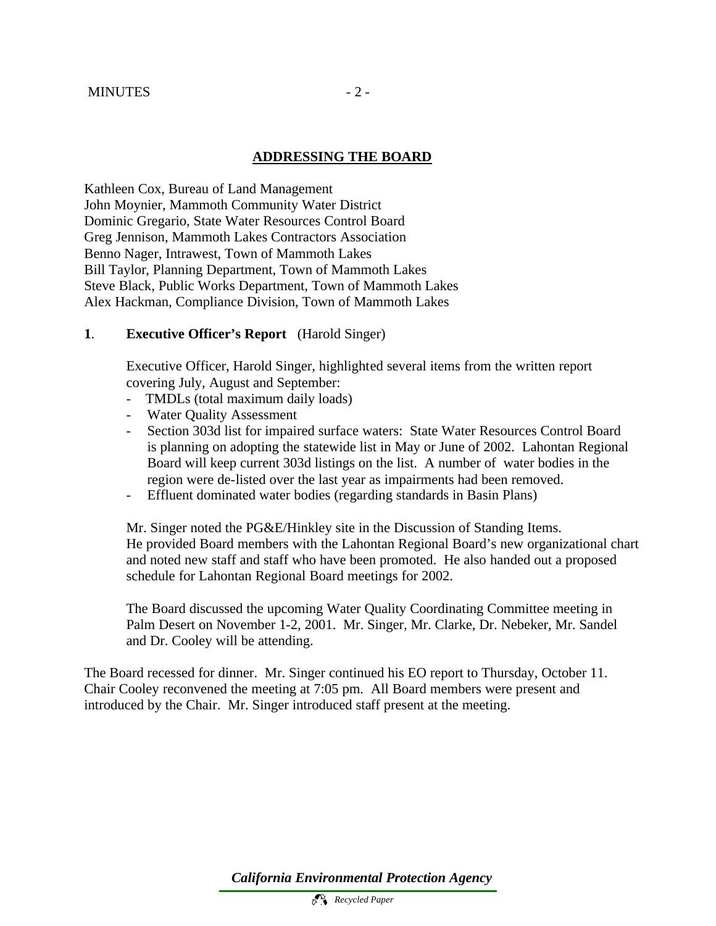#### **ADDRESSING THE BOARD**

Kathleen Cox, Bureau of Land Management John Moynier, Mammoth Community Water District Dominic Gregario, State Water Resources Control Board Greg Jennison, Mammoth Lakes Contractors Association Benno Nager, Intrawest, Town of Mammoth Lakes Bill Taylor, Planning Department, Town of Mammoth Lakes Steve Black, Public Works Department, Town of Mammoth Lakes Alex Hackman, Compliance Division, Town of Mammoth Lakes

#### **1**. **Executive Officer's Report** (Harold Singer)

Executive Officer, Harold Singer, highlighted several items from the written report covering July, August and September:

- TMDLs (total maximum daily loads)
- Water Quality Assessment
- Section 303d list for impaired surface waters: State Water Resources Control Board is planning on adopting the statewide list in May or June of 2002. Lahontan Regional Board will keep current 303d listings on the list. A number of water bodies in the region were de-listed over the last year as impairments had been removed.
- Effluent dominated water bodies (regarding standards in Basin Plans)

Mr. Singer noted the PG&E/Hinkley site in the Discussion of Standing Items. He provided Board members with the Lahontan Regional Board's new organizational chart and noted new staff and staff who have been promoted. He also handed out a proposed schedule for Lahontan Regional Board meetings for 2002.

The Board discussed the upcoming Water Quality Coordinating Committee meeting in Palm Desert on November 1-2, 2001. Mr. Singer, Mr. Clarke, Dr. Nebeker, Mr. Sandel and Dr. Cooley will be attending.

The Board recessed for dinner. Mr. Singer continued his EO report to Thursday, October 11. Chair Cooley reconvened the meeting at 7:05 pm. All Board members were present and introduced by the Chair. Mr. Singer introduced staff present at the meeting.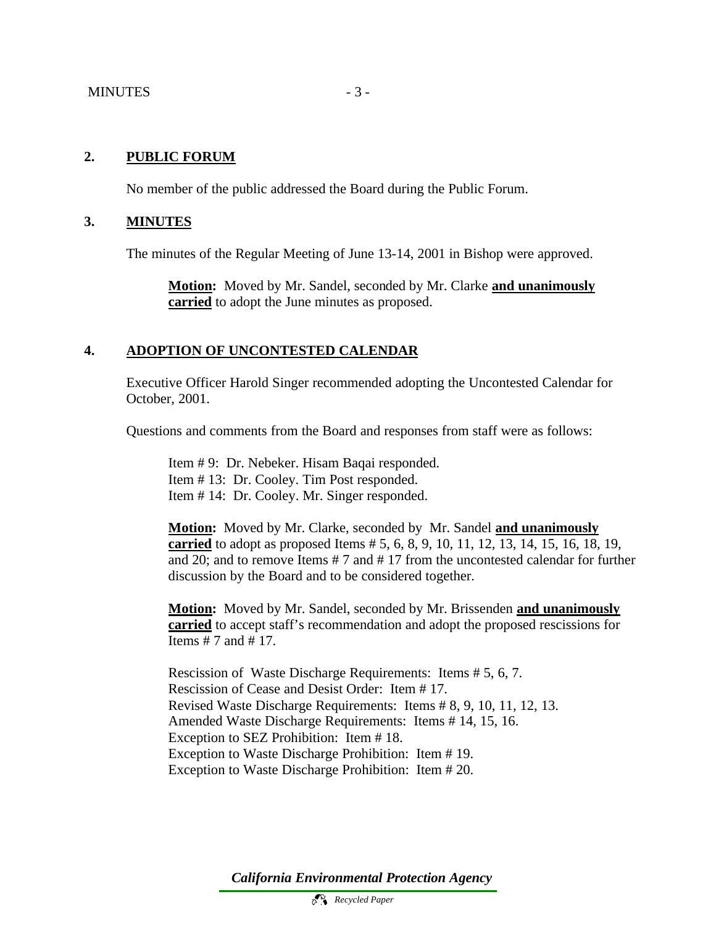## **2. PUBLIC FORUM**

No member of the public addressed the Board during the Public Forum.

#### **3. MINUTES**

The minutes of the Regular Meeting of June 13-14, 2001 in Bishop were approved.

**Motion:** Moved by Mr. Sandel, seconded by Mr. Clarke **and unanimously carried** to adopt the June minutes as proposed.

## **4. ADOPTION OF UNCONTESTED CALENDAR**

Executive Officer Harold Singer recommended adopting the Uncontested Calendar for October, 2001.

Questions and comments from the Board and responses from staff were as follows:

Item # 9: Dr. Nebeker. Hisam Baqai responded. Item # 13: Dr. Cooley. Tim Post responded. Item # 14: Dr. Cooley. Mr. Singer responded.

**Motion:** Moved by Mr. Clarke, seconded by Mr. Sandel **and unanimously carried** to adopt as proposed Items # 5, 6, 8, 9, 10, 11, 12, 13, 14, 15, 16, 18, 19, and 20; and to remove Items # 7 and # 17 from the uncontested calendar for further discussion by the Board and to be considered together.

**Motion:** Moved by Mr. Sandel, seconded by Mr. Brissenden **and unanimously carried** to accept staff's recommendation and adopt the proposed rescissions for Items # 7 and # 17.

Rescission of Waste Discharge Requirements: Items # 5, 6, 7. Rescission of Cease and Desist Order: Item # 17. Revised Waste Discharge Requirements: Items # 8, 9, 10, 11, 12, 13. Amended Waste Discharge Requirements: Items # 14, 15, 16. Exception to SEZ Prohibition: Item # 18. Exception to Waste Discharge Prohibition: Item # 19. Exception to Waste Discharge Prohibition: Item # 20.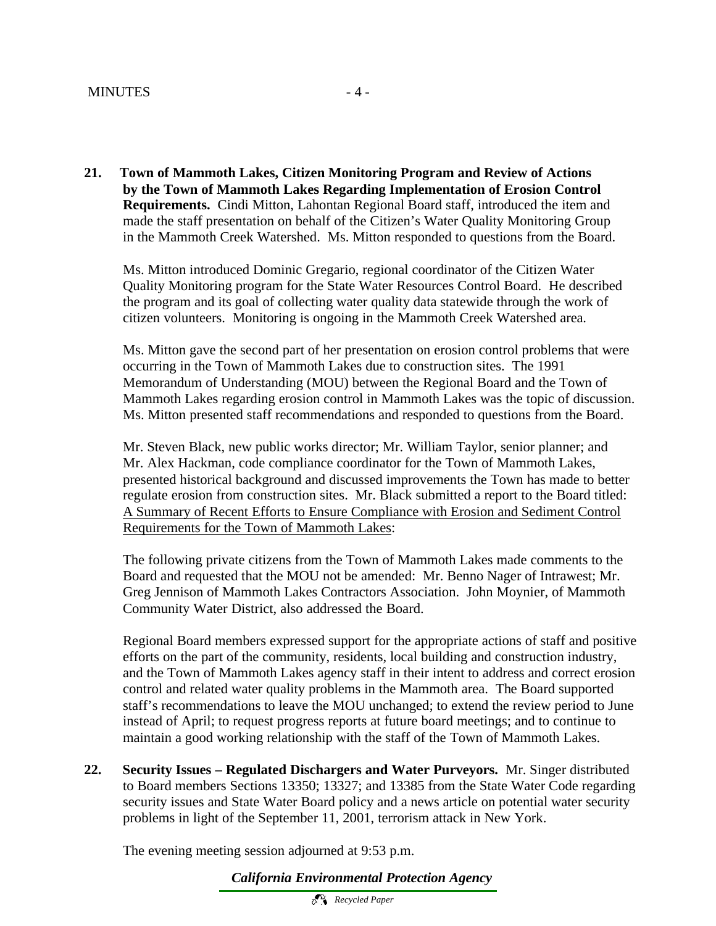**21. Town of Mammoth Lakes, Citizen Monitoring Program and Review of Actions by the Town of Mammoth Lakes Regarding Implementation of Erosion Control Requirements.** Cindi Mitton, Lahontan Regional Board staff, introduced the item and made the staff presentation on behalf of the Citizen's Water Quality Monitoring Group in the Mammoth Creek Watershed. Ms. Mitton responded to questions from the Board.

Ms. Mitton introduced Dominic Gregario, regional coordinator of the Citizen Water Quality Monitoring program for the State Water Resources Control Board. He described the program and its goal of collecting water quality data statewide through the work of citizen volunteers. Monitoring is ongoing in the Mammoth Creek Watershed area.

Ms. Mitton gave the second part of her presentation on erosion control problems that were occurring in the Town of Mammoth Lakes due to construction sites. The 1991 Memorandum of Understanding (MOU) between the Regional Board and the Town of Mammoth Lakes regarding erosion control in Mammoth Lakes was the topic of discussion. Ms. Mitton presented staff recommendations and responded to questions from the Board.

Mr. Steven Black, new public works director; Mr. William Taylor, senior planner; and Mr. Alex Hackman, code compliance coordinator for the Town of Mammoth Lakes, presented historical background and discussed improvements the Town has made to better regulate erosion from construction sites. Mr. Black submitted a report to the Board titled: A Summary of Recent Efforts to Ensure Compliance with Erosion and Sediment Control Requirements for the Town of Mammoth Lakes:

The following private citizens from the Town of Mammoth Lakes made comments to the Board and requested that the MOU not be amended: Mr. Benno Nager of Intrawest; Mr. Greg Jennison of Mammoth Lakes Contractors Association. John Moynier, of Mammoth Community Water District, also addressed the Board.

Regional Board members expressed support for the appropriate actions of staff and positive efforts on the part of the community, residents, local building and construction industry, and the Town of Mammoth Lakes agency staff in their intent to address and correct erosion control and related water quality problems in the Mammoth area. The Board supported staff's recommendations to leave the MOU unchanged; to extend the review period to June instead of April; to request progress reports at future board meetings; and to continue to maintain a good working relationship with the staff of the Town of Mammoth Lakes.

**22. Security Issues – Regulated Dischargers and Water Purveyors.** Mr. Singer distributed to Board members Sections 13350; 13327; and 13385 from the State Water Code regarding security issues and State Water Board policy and a news article on potential water security problems in light of the September 11, 2001, terrorism attack in New York.

The evening meeting session adjourned at 9:53 p.m.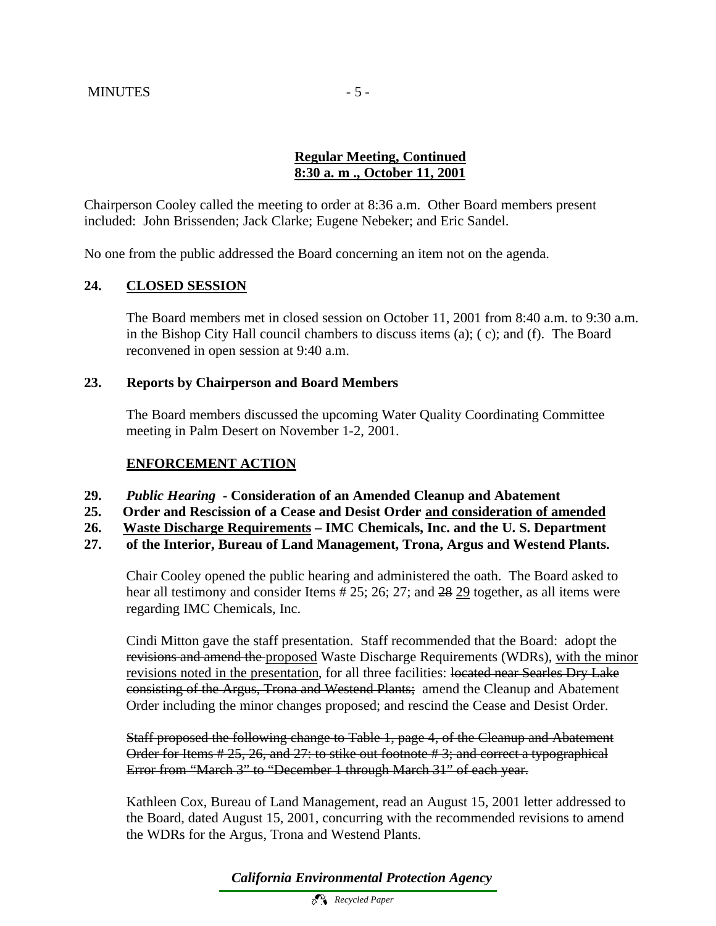## **Regular Meeting, Continued 8:30 a. m ., October 11, 2001**

Chairperson Cooley called the meeting to order at 8:36 a.m. Other Board members present included: John Brissenden; Jack Clarke; Eugene Nebeker; and Eric Sandel.

No one from the public addressed the Board concerning an item not on the agenda.

## **24. CLOSED SESSION**

The Board members met in closed session on October 11, 2001 from 8:40 a.m. to 9:30 a.m. in the Bishop City Hall council chambers to discuss items (a); ( c); and (f). The Board reconvened in open session at 9:40 a.m.

## **23. Reports by Chairperson and Board Members**

The Board members discussed the upcoming Water Quality Coordinating Committee meeting in Palm Desert on November 1-2, 2001.

## **ENFORCEMENT ACTION**

- **29.** *Public Hearing*  **Consideration of an Amended Cleanup and Abatement**
- **25. Order and Rescission of a Cease and Desist Order and consideration of amended**
- **26. Waste Discharge Requirements IMC Chemicals, Inc. and the U. S. Department**
- **27. of the Interior, Bureau of Land Management, Trona, Argus and Westend Plants.**

Chair Cooley opened the public hearing and administered the oath. The Board asked to hear all testimony and consider Items # 25; 26; 27; and 28 29 together, as all items were regarding IMC Chemicals, Inc.

Cindi Mitton gave the staff presentation. Staff recommended that the Board: adopt the revisions and amend the proposed Waste Discharge Requirements (WDRs), with the minor revisions noted in the presentation, for all three facilities: located near Searles Dry Lake consisting of the Argus, Trona and Westend Plants; amend the Cleanup and Abatement Order including the minor changes proposed; and rescind the Cease and Desist Order.

Staff proposed the following change to Table 1, page 4, of the Cleanup and Abatement Order for Items # 25, 26, and 27: to stike out footnote # 3; and correct a typographical Error from "March 3" to "December 1 through March 31" of each year.

Kathleen Cox, Bureau of Land Management, read an August 15, 2001 letter addressed to the Board, dated August 15, 2001, concurring with the recommended revisions to amend the WDRs for the Argus, Trona and Westend Plants.